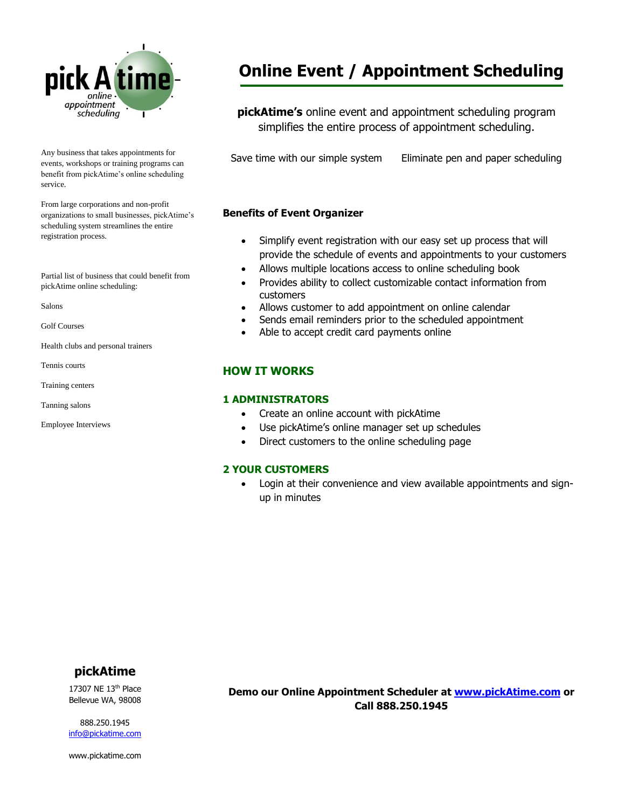

Any business that takes appointments for events, workshops or training programs can benefit from pickAtime's online scheduling service.

From large corporations and non-profit organizations to small businesses, pickAtime's scheduling system streamlines the entire registration process.

Partial list of business that could benefit from pickAtime online scheduling:

Salons

Golf Courses

Health clubs and personal trainers

Tennis courts

Training centers

Tanning salons

Employee Interviews

# **Online Event / Appointment Scheduling**

**pickAtime's** online event and appointment scheduling program simplifies the entire process of appointment scheduling.

Save time with our simple system Eliminate pen and paper scheduling

#### **Benefits of Event Organizer**

- Simplify event registration with our easy set up process that will provide the schedule of events and appointments to your customers
- Allows multiple locations access to online scheduling book
- Provides ability to collect customizable contact information from customers
- Allows customer to add appointment on online calendar
- Sends email reminders prior to the scheduled appointment
- Able to accept credit card payments online

# **HOW IT WORKS**

#### **1 ADMINISTRATORS**

- Create an online account with pickAtime
- Use pickAtime's online manager set up schedules
- Direct customers to the online scheduling page

#### **2 YOUR CUSTOMERS**

 Login at their convenience and view available appointments and signup in minutes

# **pickAtime**

17307 NE 13th Place Bellevue WA, 98008

888.250.1945 [info@pickatime.com](mailto:info@pickatime.com)

www.pickatime.com

**Demo our Online Appointment Scheduler at [www.pickAtime.com](http://www.pickatime.com/) or Call 888.250.1945**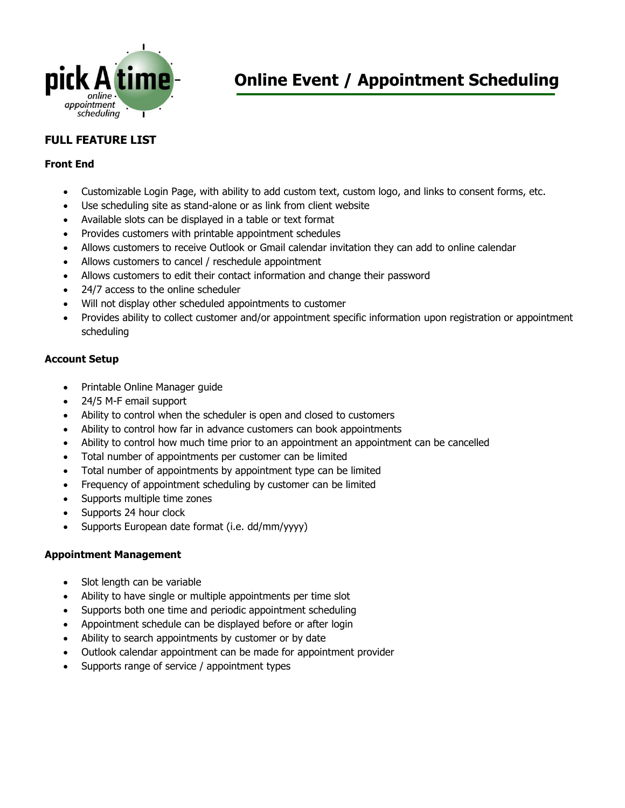

# **FULL FEATURE LIST**

### **Front End**

- Customizable Login Page, with ability to add custom text, custom logo, and links to consent forms, etc.
- Use scheduling site as stand-alone or as link from client website
- Available slots can be displayed in a table or text format
- Provides customers with printable appointment schedules
- Allows customers to receive Outlook or Gmail calendar invitation they can add to online calendar
- Allows customers to cancel / reschedule appointment
- Allows customers to edit their contact information and change their password
- 24/7 access to the online scheduler
- Will not display other scheduled appointments to customer
- Provides ability to collect customer and/or appointment specific information upon registration or appointment scheduling

# **Account Setup**

- Printable Online Manager guide
- 24/5 M-F email support
- Ability to control when the scheduler is open and closed to customers
- Ability to control how far in advance customers can book appointments
- Ability to control how much time prior to an appointment an appointment can be cancelled
- Total number of appointments per customer can be limited
- Total number of appointments by appointment type can be limited
- Frequency of appointment scheduling by customer can be limited
- Supports multiple time zones
- Supports 24 hour clock
- Supports European date format (i.e. dd/mm/yyyy)

#### **Appointment Management**

- Slot length can be variable
- Ability to have single or multiple appointments per time slot
- Supports both one time and periodic appointment scheduling
- Appointment schedule can be displayed before or after login
- Ability to search appointments by customer or by date
- Outlook calendar appointment can be made for appointment provider
- Supports range of service / appointment types